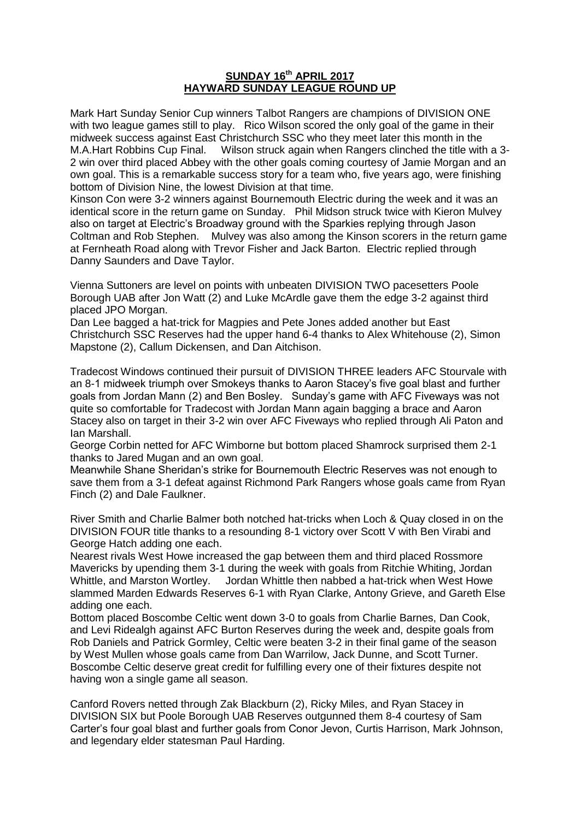## **SUNDAY 16th APRIL 2017 HAYWARD SUNDAY LEAGUE ROUND UP**

Mark Hart Sunday Senior Cup winners Talbot Rangers are champions of DIVISION ONE with two league games still to play. Rico Wilson scored the only goal of the game in their midweek success against East Christchurch SSC who they meet later this month in the M.A.Hart Robbins Cup Final. Wilson struck again when Rangers clinched the title with a 3- 2 win over third placed Abbey with the other goals coming courtesy of Jamie Morgan and an own goal. This is a remarkable success story for a team who, five years ago, were finishing bottom of Division Nine, the lowest Division at that time.

Kinson Con were 3-2 winners against Bournemouth Electric during the week and it was an identical score in the return game on Sunday. Phil Midson struck twice with Kieron Mulvey also on target at Electric's Broadway ground with the Sparkies replying through Jason Coltman and Rob Stephen. Mulvey was also among the Kinson scorers in the return game at Fernheath Road along with Trevor Fisher and Jack Barton. Electric replied through Danny Saunders and Dave Taylor.

Vienna Suttoners are level on points with unbeaten DIVISION TWO pacesetters Poole Borough UAB after Jon Watt (2) and Luke McArdle gave them the edge 3-2 against third placed JPO Morgan.

Dan Lee bagged a hat-trick for Magpies and Pete Jones added another but East Christchurch SSC Reserves had the upper hand 6-4 thanks to Alex Whitehouse (2), Simon Mapstone (2), Callum Dickensen, and Dan Aitchison.

Tradecost Windows continued their pursuit of DIVISION THREE leaders AFC Stourvale with an 8-1 midweek triumph over Smokeys thanks to Aaron Stacey's five goal blast and further goals from Jordan Mann (2) and Ben Bosley. Sunday's game with AFC Fiveways was not quite so comfortable for Tradecost with Jordan Mann again bagging a brace and Aaron Stacey also on target in their 3-2 win over AFC Fiveways who replied through Ali Paton and Ian Marshall.

George Corbin netted for AFC Wimborne but bottom placed Shamrock surprised them 2-1 thanks to Jared Mugan and an own goal.

Meanwhile Shane Sheridan's strike for Bournemouth Electric Reserves was not enough to save them from a 3-1 defeat against Richmond Park Rangers whose goals came from Ryan Finch (2) and Dale Faulkner.

River Smith and Charlie Balmer both notched hat-tricks when Loch & Quay closed in on the DIVISION FOUR title thanks to a resounding 8-1 victory over Scott V with Ben Virabi and George Hatch adding one each.

Nearest rivals West Howe increased the gap between them and third placed Rossmore Mavericks by upending them 3-1 during the week with goals from Ritchie Whiting, Jordan Whittle, and Marston Wortley. Jordan Whittle then nabbed a hat-trick when West Howe slammed Marden Edwards Reserves 6-1 with Ryan Clarke, Antony Grieve, and Gareth Else adding one each.

Bottom placed Boscombe Celtic went down 3-0 to goals from Charlie Barnes, Dan Cook, and Levi Ridealgh against AFC Burton Reserves during the week and, despite goals from Rob Daniels and Patrick Gormley, Celtic were beaten 3-2 in their final game of the season by West Mullen whose goals came from Dan Warrilow, Jack Dunne, and Scott Turner. Boscombe Celtic deserve great credit for fulfilling every one of their fixtures despite not having won a single game all season.

Canford Rovers netted through Zak Blackburn (2), Ricky Miles, and Ryan Stacey in DIVISION SIX but Poole Borough UAB Reserves outgunned them 8-4 courtesy of Sam Carter's four goal blast and further goals from Conor Jevon, Curtis Harrison, Mark Johnson, and legendary elder statesman Paul Harding.